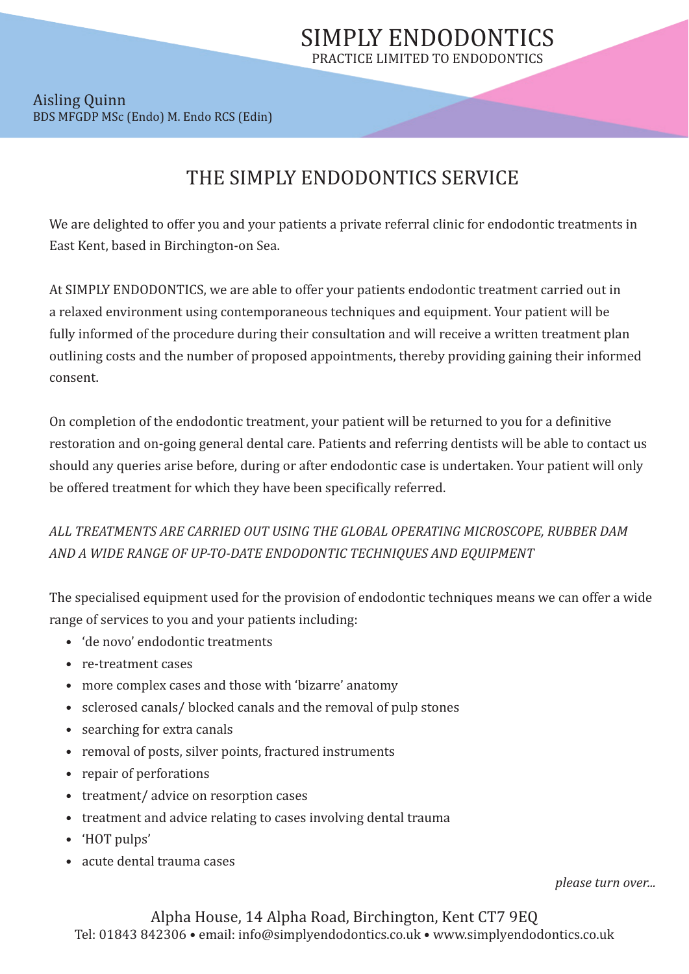## Aisling Quinn BDS MFGDP MSc (Endo) M. Endo RCS (Edin)

## THE SIMPLY ENDODONTICS SERVICE

We are delighted to offer you and your patients a private referral clinic for endodontic treatments in East Kent, based in Birchington-on Sea.

At SIMPLY ENDODONTICS, we are able to offer your patients endodontic treatment carried out in a relaxed environment using contemporaneous techniques and equipment. Your patient will be fully informed of the procedure during their consultation and will receive a written treatment plan outlining costs and the number of proposed appointments, thereby providing gaining their informed consent.

On completion of the endodontic treatment, your patient will be returned to you for a definitive restoration and on-going general dental care. Patients and referring dentists will be able to contact us should any queries arise before, during or after endodontic case is undertaken. Your patient will only be offered treatment for which they have been specifically referred.

*ALL TREATMENTS ARE CARRIED OUT USING THE GLOBAL OPERATING MICROSCOPE, RUBBER DAM AND A WIDE RANGE OF UP-TO-DATE ENDODONTIC TECHNIQUES AND EQUIPMENT*

The specialised equipment used for the provision of endodontic techniques means we can offer a wide range of services to you and your patients including:

- 'de novo' endodontic treatments
- re-treatment cases
- more complex cases and those with 'bizarre' anatomy
- sclerosed canals/ blocked canals and the removal of pulp stones
- searching for extra canals
- removal of posts, silver points, fractured instruments
- repair of perforations
- treatment/ advice on resorption cases
- treatment and advice relating to cases involving dental trauma
- 'HOT pulps'
- acute dental trauma cases

*please turn over...*

Alpha House, 14 Alpha Road, Birchington, Kent CT7 9EQ Tel: 01843 842306 • email: info@simplyendodontics.co.uk • www.simplyendodontics.co.uk